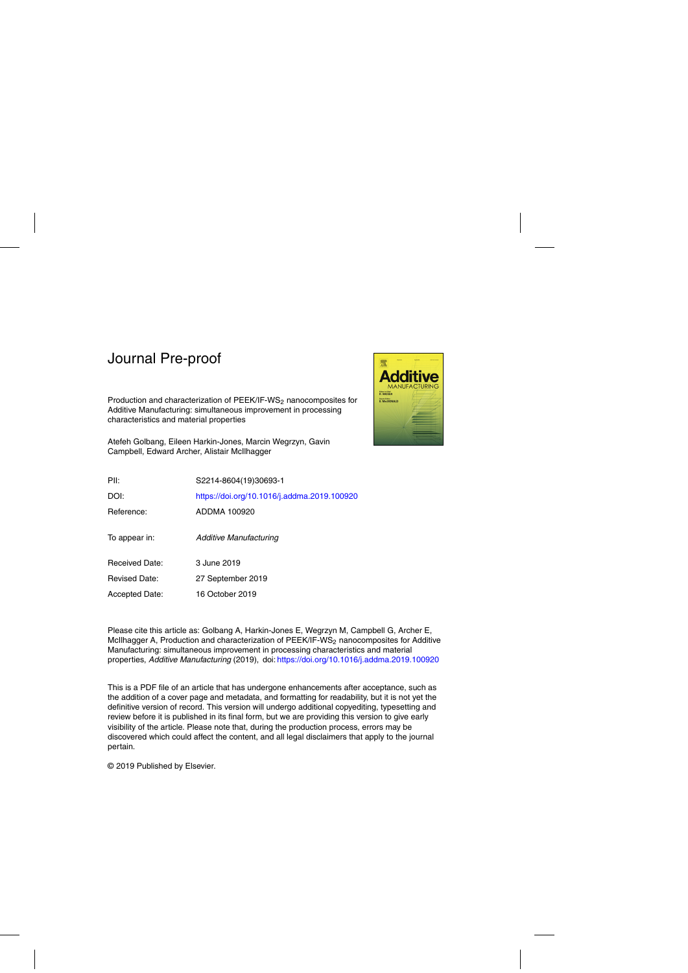Production and characterization of PEEK/IF-WS<sub>2</sub> nanocomposites for Additive Manufacturing: simultaneous improvement in processing characteristics and material properties

Atefeh Golbang, Eileen Harkin-Jones, Marcin Wegrzyn, Gavin Campbell, Edward Archer, Alistair McIlhagger



| PII:                  | S2214-8604(19)30693-1                       |
|-----------------------|---------------------------------------------|
| DOI:                  | https://doi.org/10.1016/j.addma.2019.100920 |
| Reference:            | ADDMA 100920                                |
| To appear in:         | Additive Manufacturing                      |
| <b>Received Date:</b> | 3 June 2019                                 |
| <b>Revised Date:</b>  | 27 September 2019                           |
| Accepted Date:        | 16 October 2019                             |

Please cite this article as: Golbang A, Harkin-Jones E, Wegrzyn M, Campbell G, Archer E, McIlhagger A, Production and characterization of PEEK/IF-WS<sub>2</sub> nanocomposites for Additive Manufacturing: simultaneous improvement in processing characteristics and material properties, Additive Manufacturing (2019), doi: <https://doi.org/10.1016/j.addma.2019.100920>

This is a PDF file of an article that has undergone enhancements after acceptance, such as the addition of a cover page and metadata, and formatting for readability, but it is not yet the definitive version of record. This version will undergo additional copyediting, typesetting and review before it is published in its final form, but we are providing this version to give early visibility of the article. Please note that, during the production process, errors may be discovered which could affect the content, and all legal disclaimers that apply to the journal pertain.

© 2019 Published by Elsevier.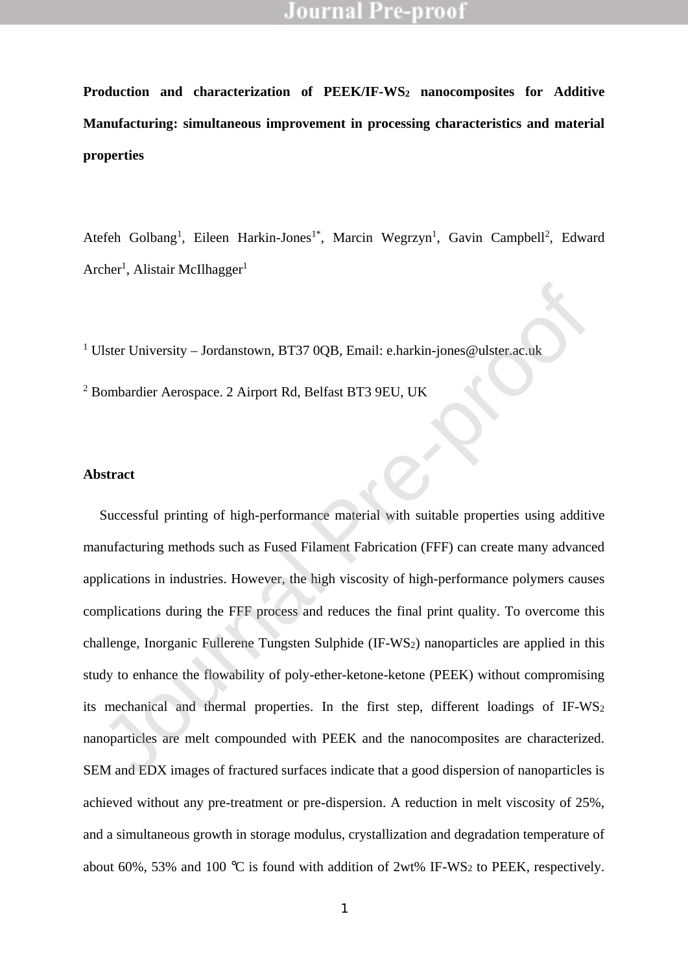**Production and characterization of PEEK/IF-WS<sup>2</sup> nanocomposites for Additive Manufacturing: simultaneous improvement in processing characteristics and material properties** 

Atefeh Golbang<sup>1</sup>, Eileen Harkin-Jones<sup>1\*</sup>, Marcin Wegrzyn<sup>1</sup>, Gavin Campbell<sup>2</sup>, Edward Archer<sup>1</sup>, Alistair McIlhagger<sup>1</sup>

<sup>1</sup> Ulster University + Jordanstown, BT37 0OB, Email: e.harkin-jones@ulster.ac.uk

<sup>2</sup> Bombardier Aerospace. 2 Airport Rd, Belfast BT3 9EU, UK

#### **Abstract**

Successful printing of high-performance material with suitable properties using additive manufacturing methods such as Fused Filament Fabrication (FFF) can create many advanced applications in industries. However, the high viscosity of high-performance polymers causes complications during the FFF process and reduces the final print quality. To overcome this challenge, Inorganic Fullerene Tungsten Sulphide (IF-WS2) nanoparticles are applied in this study to enhance the flowability of poly-ether-ketone-ketone (PEEK) without compromising its mechanical and thermal properties. In the first step, different loadings of IF-WS<sup>2</sup> nanoparticles are melt compounded with PEEK and the nanocomposites are characterized. SEM and EDX images of fractured surfaces indicate that a good dispersion of nanoparticles is achieved without any pre-treatment or pre-dispersion. A reduction in melt viscosity of 25%, and a simultaneous growth in storage modulus, crystallization and degradation temperature of about 60%, 53% and 100 °C is found with addition of  $2wt\%$  IF-WS<sub>2</sub> to PEEK, respectively. Ulster University ± Jordanstown, BT37 0QB, Email: e.harkin-jones@ulster.ac.uk<br>
Bombardier Aerospace. 2 Airport Rd, Belfast BT3 9EU, UK<br>
States<br>
States<br>
States<br>
States<br>
States<br>
States<br>
States<br>
States<br>
Dimining of high-perfo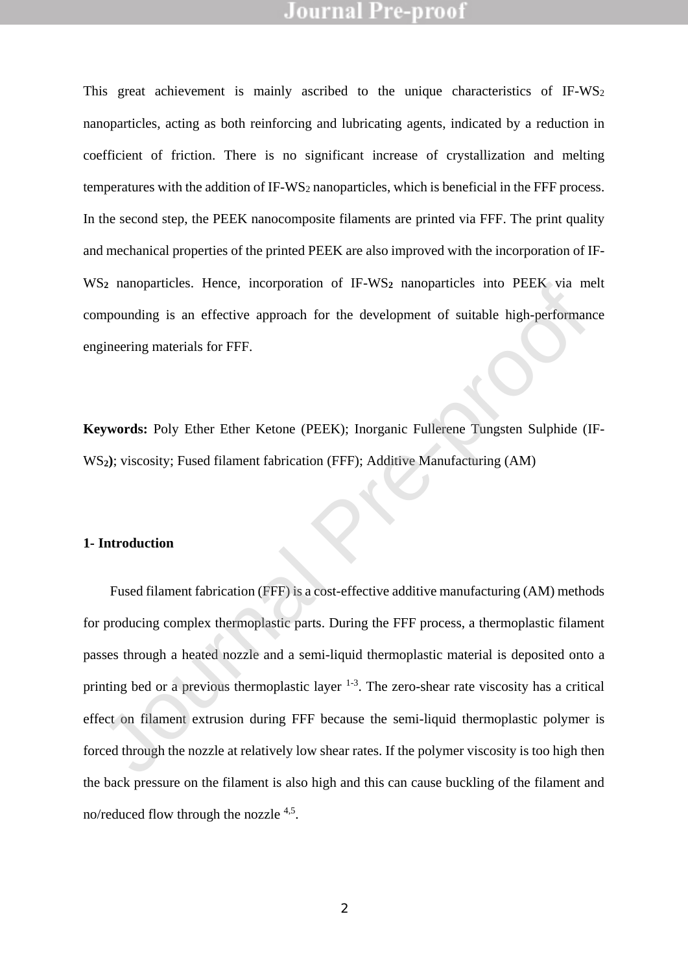This great achievement is mainly ascribed to the unique characteristics of IF-WS<sup>2</sup> nanoparticles, acting as both reinforcing and lubricating agents, indicated by a reduction in coefficient of friction. There is no significant increase of crystallization and melting temperatures with the addition of IF-WS<sub>2</sub> nanoparticles, which is beneficial in the FFF process. In the second step, the PEEK nanocomposite filaments are printed via FFF. The print quality and mechanical properties of the printed PEEK are also improved with the incorporation of IF-WS<sub>2</sub> nanoparticles. Hence, incorporation of IF-WS<sub>2</sub> nanoparticles into PEEK via melt compounding is an effective approach for the development of suitable high-performance engineering materials for FFF.

**Keywords:** Poly Ether Ether Ketone (PEEK); Inorganic Fullerene Tungsten Sulphide (IF-WS**2)**; viscosity; Fused filament fabrication (FFF); Additive Manufacturing (AM)

#### **1- Introduction**

 Fused filament fabrication (FFF) is a cost-effective additive manufacturing (AM) methods for producing complex thermoplastic parts. During the FFF process, a thermoplastic filament passes through a heated nozzle and a semi-liquid thermoplastic material is deposited onto a printing bed or a previous thermoplastic layer  $1-3$ . The zero-shear rate viscosity has a critical effect on filament extrusion during FFF because the semi-liquid thermoplastic polymer is forced through the nozzle at relatively low shear rates. If the polymer viscosity is too high then the back pressure on the filament is also high and this can cause buckling of the filament and no/reduced flow through the nozzle <sup>4,5</sup>. 52 nanoparoces. Hence, meorporation of  $F-Ws2$  nanoparticles into TEEN via in<br>mpounding is an effective approach for the development of suitable high-performant<br>gineering materials for FFF.<br>eywords: Poly Ether Ether Ketone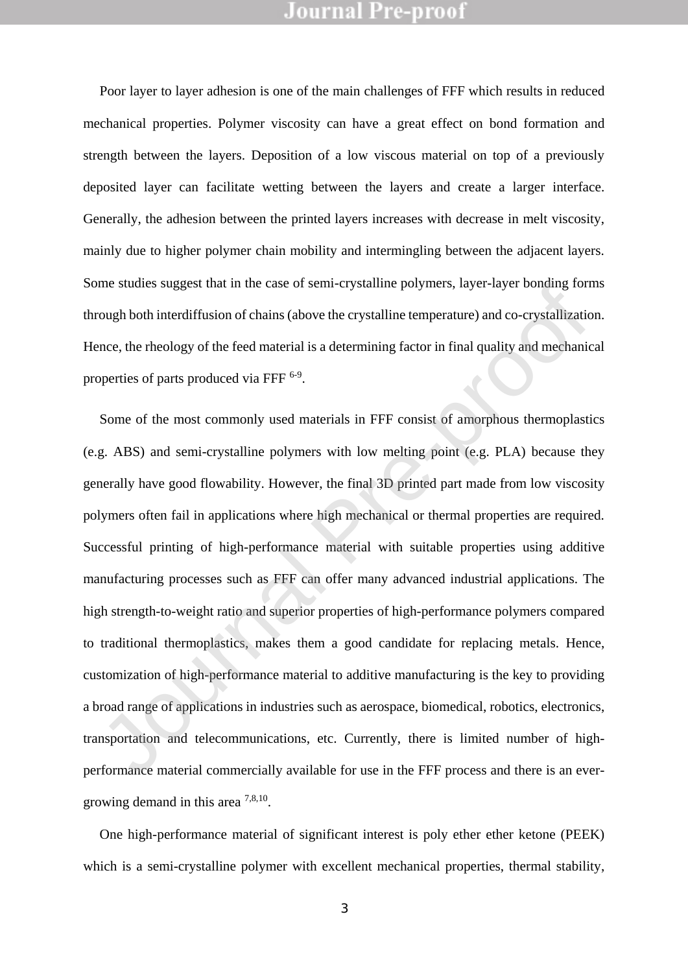Poor layer to layer adhesion is one of the main challenges of FFF which results in reduced mechanical properties. Polymer viscosity can have a great effect on bond formation and strength between the layers. Deposition of a low viscous material on top of a previously deposited layer can facilitate wetting between the layers and create a larger interface. Generally, the adhesion between the printed layers increases with decrease in melt viscosity, mainly due to higher polymer chain mobility and intermingling between the adjacent layers. Some studies suggest that in the case of semi-crystalline polymers, layer-layer bonding forms through both interdiffusion of chains (above the crystalline temperature) and co-crystallization. Hence, the rheology of the feed material is a determining factor in final quality and mechanical properties of parts produced via FFF <sup>6-9</sup>.

Some of the most commonly used materials in FFF consist of amorphous thermoplastics (e.g. ABS) and semi-crystalline polymers with low melting point (e.g. PLA) because they generally have good flowability. However, the final 3D printed part made from low viscosity polymers often fail in applications where high mechanical or thermal properties are required. Successful printing of high-performance material with suitable properties using additive manufacturing processes such as FFF can offer many advanced industrial applications. The high strength-to-weight ratio and superior properties of high-performance polymers compared to traditional thermoplastics, makes them a good candidate for replacing metals. Hence, customization of high-performance material to additive manufacturing is the key to providing a broad range of applications in industries such as aerospace, biomedical, robotics, electronics, transportation and telecommunications, etc. Currently, there is limited number of highperformance material commercially available for use in the FFF process and there is an evergrowing demand in this area  $^{7,8,10}$ . nne sutures suggest mat in the case of semi-crystalme proymers, layer-layer bonding for<br>ough both interdiffusion of chains (above the crystalline temperature) and co-crystallization<br>cough both interdiffusion of chains (abo

One high-performance material of significant interest is poly ether ether ketone (PEEK) which is a semi-crystalline polymer with excellent mechanical properties, thermal stability,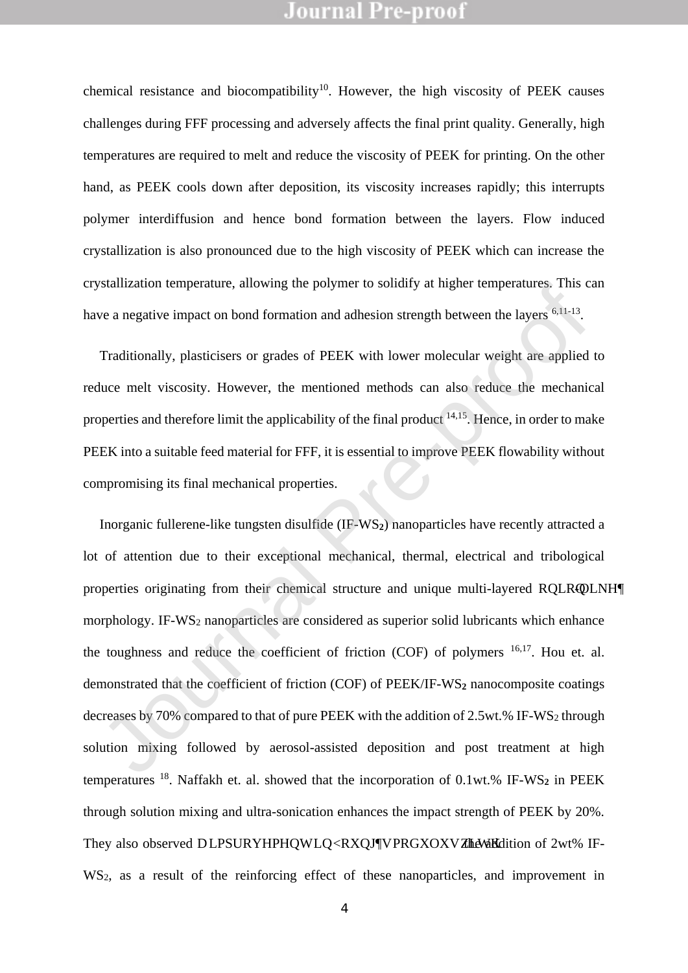chemical resistance and biocompatibility<sup>10</sup>. However, the high viscosity of PEEK causes challenges during FFF processing and adversely affects the final print quality. Generally, high temperatures are required to melt and reduce the viscosity of PEEK for printing. On the other hand, as PEEK cools down after deposition, its viscosity increases rapidly; this interrupts polymer interdiffusion and hence bond formation between the layers. Flow induced crystallization is also pronounced due to the high viscosity of PEEK which can increase the crystallization temperature, allowing the polymer to solidify at higher temperatures. This can have a negative impact on bond formation and adhesion strength between the layers <sup>6,11-13</sup>.

Traditionally, plasticisers or grades of PEEK with lower molecular weight are applied to reduce melt viscosity. However, the mentioned methods can also reduce the mechanical properties and therefore limit the applicability of the final product <sup>14,15</sup>. Hence, in order to make PEEK into a suitable feed material for FFF, it is essential to improve PEEK flowability without compromising its final mechanical properties.

Inorganic fullerene-like tungsten disulfide (IF-WS**2**) nanoparticles have recently attracted a lot of attention due to their exceptional mechanical, thermal, electrical and tribological properties originating from their chemical structure and unique multi-layered ROLRQDLNH morphology. IF-WS<sub>2</sub> nanoparticles are considered as superior solid lubricants which enhance the toughness and reduce the coefficient of friction (COF) of polymers  $16,17$ . Hou et. al. demonstrated that the coefficient of friction (COF) of PEEK/IF-WS**<sup>2</sup>** nanocomposite coatings decreases by 70% compared to that of pure PEEK with the addition of 2.5wt.% IF-WS<sup>2</sup> through solution mixing followed by aerosol-assisted deposition and post treatment at high temperatures <sup>18</sup>. Naffakh et. al. showed that the incorporation of 0.1wt.% IF-WS<sub>2</sub> in PEEK through solution mixing and ultra-sonication enhances the impact strength of PEEK by 20%. They also observed DLPSURYHPHQWLQRXQJVPRGXOXVZLWK addition of 2wt% IF-WS2, as a result of the reinforcing effect of these nanoparticles, and improvement in Standardon lemperature, anowing the polymer to solidity at higher lemperatures. This covera negative impact on bond formation and adhesion strength between the layers <sup>6,11-13</sup>. Traditionally, plasticisers or grades of PE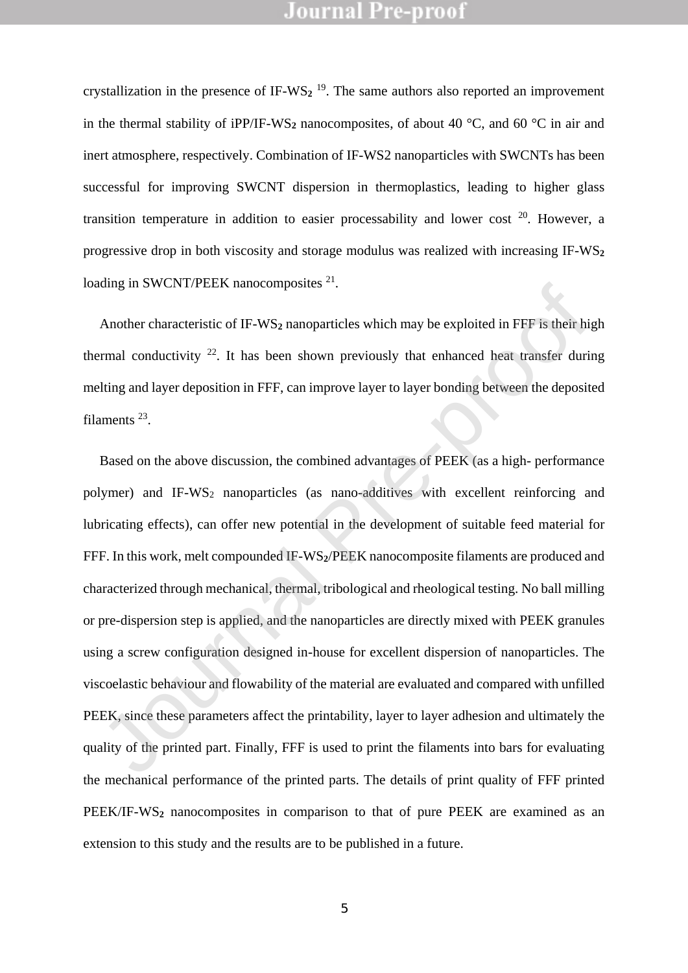crystallization in the presence of IF-WS<sub>2</sub><sup>19</sup>. The same authors also reported an improvement in the thermal stability of iPP/IF-WS<sub>2</sub> nanocomposites, of about 40 °C, and 60 °C in air and inert atmosphere, respectively. Combination of IF-WS2 nanoparticles with SWCNTs has been successful for improving SWCNT dispersion in thermoplastics, leading to higher glass transition temperature in addition to easier processability and lower cost  $20$ . However, a progressive drop in both viscosity and storage modulus was realized with increasing IF-WS**<sup>2</sup>** loading in SWCNT/PEEK nanocomposites <sup>21</sup>.

Another characteristic of IF-WS**<sup>2</sup>** nanoparticles which may be exploited in FFF is their high thermal conductivity  $2^2$ . It has been shown previously that enhanced heat transfer during melting and layer deposition in FFF, can improve layer to layer bonding between the deposited filaments<sup>23</sup>.

Based on the above discussion, the combined advantages of PEEK (as a high- performance polymer) and IF-WS<sup>2</sup> nanoparticles (as nano-additives with excellent reinforcing and lubricating effects), can offer new potential in the development of suitable feed material for FFF. In this work, melt compounded IF-WS**2**/PEEK nanocomposite filaments are produced and characterized through mechanical, thermal, tribological and rheological testing. No ball milling or pre-dispersion step is applied, and the nanoparticles are directly mixed with PEEK granules using a screw configuration designed in-house for excellent dispersion of nanoparticles. The viscoelastic behaviour and flowability of the material are evaluated and compared with unfilled PEEK, since these parameters affect the printability, layer to layer adhesion and ultimately the quality of the printed part. Finally, FFF is used to print the filaments into bars for evaluating the mechanical performance of the printed parts. The details of print quality of FFF printed PEEK/IF-WS<sub>2</sub> nanocomposites in comparison to that of pure PEEK are examined as an extension to this study and the results are to be published in a future. Laurentian and Haracterizic of IF-WS<sub>2</sub> nanoparticles which may be exploited in FFF is their hiernal conductivity <sup>22</sup>. It has been shown previously that enhanced heat transfer duriting and layer deposition in FFF, can im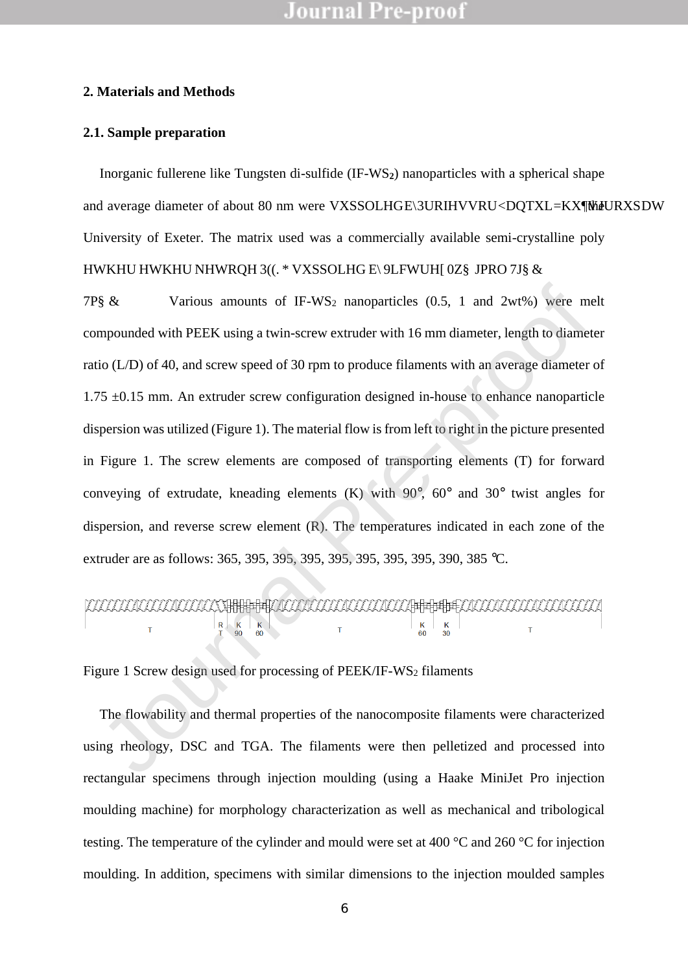#### **2. Materials and Methods**

### **2.1. Sample preparation**

Inorganic fullerene like Tungsten di-sulfide (IF-WS**2**) nanoparticles with a spherical shape and average diameter of about 80 nm were VXSSOLHGEBURIHVVRUDQTXL=KXWJURXSDW University of Exeter. The matrix used was a commercially available semi-crystalline poly HWKHU HWKHU NHWRQH 3((.\* VXSSOLHG E\9LFWUH[0Z§JPRO 7J§&

7P\$ $\&$  Various amounts of IF-WS<sub>2</sub> nanoparticles (0.5, 1 and 2wt%) were melt compounded with PEEK using a twin-screw extruder with 16 mm diameter, length to diameter ratio (L/D) of 40, and screw speed of 30 rpm to produce filaments with an average diameter of  $1.75 \pm 0.15$  mm. An extruder screw configuration designed in-house to enhance nanoparticle dispersion was utilized (Figure 1). The material flow is from left to right in the picture presented in Figure 1. The screw elements are composed of transporting elements (T) for forward conveying of extrudate, kneading elements  $(K)$  with  $90^{\circ}$ ,  $60^{\circ}$  and  $30^{\circ}$  twist angles for dispersion, and reverse screw element (R). The temperatures indicated in each zone of the extruder are as follows: 365, 395, 395, 395, 395, 395, 395, 395, 390, 385 °C. SEX Various amounts of IF-WS2 nanoparticles (0.5, 1 and 2wt%) were m<br>mpounded with PEEK using a twin-screw extruder with 16 mm diameter, length to diameter<br>io (L/D) of 40, and screw speed of 30 rpm to produce filaments wi

Figure 1 Screw design used for processing of PEEK/IF-WS<sub>2</sub> filaments

The flowability and thermal properties of the nanocomposite filaments were characterized using rheology, DSC and TGA. The filaments were then pelletized and processed into rectangular specimens through injection moulding (using a Haake MiniJet Pro injection moulding machine) for morphology characterization as well as mechanical and tribological testing. The temperature of the cylinder and mould were set at 400 °C and 260 °C for injection moulding. In addition, specimens with similar dimensions to the injection moulded samples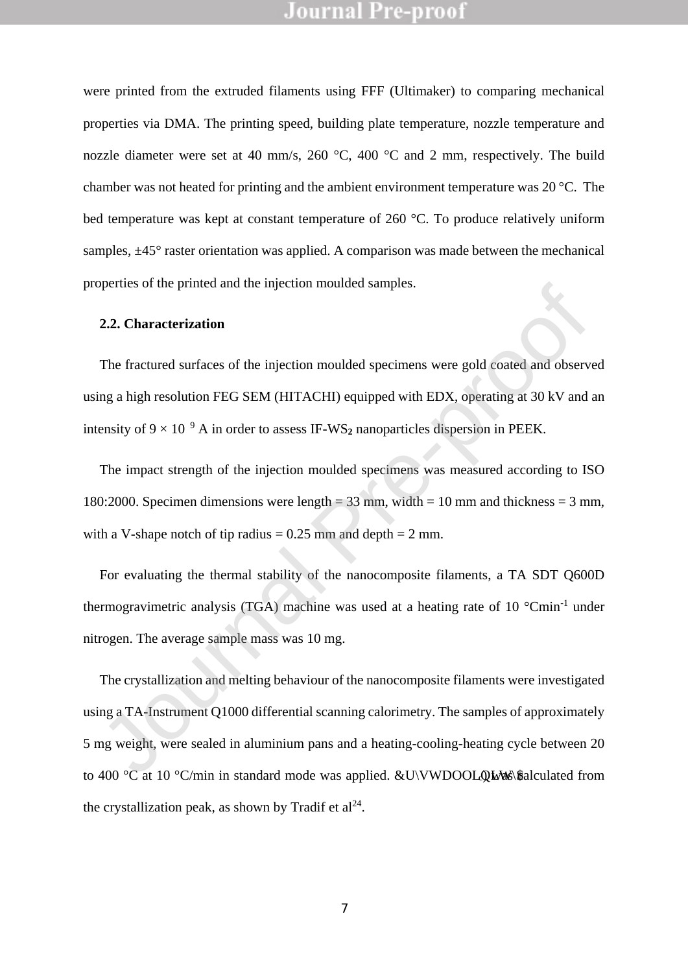were printed from the extruded filaments using FFF (Ultimaker) to comparing mechanical properties via DMA. The printing speed, building plate temperature, nozzle temperature and nozzle diameter were set at 40 mm/s, 260 °C, 400 °C and 2 mm, respectively. The build chamber was not heated for printing and the ambient environment temperature was 20 °C. The bed temperature was kept at constant temperature of 260 °C. To produce relatively uniform samples,  $\pm$ 45 $\degree$  raster orientation was applied. A comparison was made between the mechanical properties of the printed and the injection moulded samples.

#### **2.2. Characterization**

The fractured surfaces of the injection moulded specimens were gold coated and observed using a high resolution FEG SEM (HITACHI) equipped with EDX, operating at 30 kV and an intensity of  $9 \times 10^{19}$  A in order to assess IF-WS<sub>2</sub> nanoparticles dispersion in PEEK.

The impact strength of the injection moulded specimens was measured according to ISO 180:2000. Specimen dimensions were length =  $33 \text{ mm}$ , width =  $10 \text{ mm}$  and thickness =  $3 \text{ mm}$ , with a V-shape notch of tip radius  $= 0.25$  mm and depth  $= 2$  mm.

For evaluating the thermal stability of the nanocomposite filaments, a TA SDT Q600D thermogravimetric analysis (TGA) machine was used at a heating rate of 10 °Cmin-1 under nitrogen. The average sample mass was 10 mg.

The crystallization and melting behaviour of the nanocomposite filaments were investigated using a TA-Instrument Q1000 differential scanning calorimetry. The samples of approximately 5 mg weight, were sealed in aluminium pans and a heating-cooling-heating cycle between 20 to 400 °C at 10 °C/min in standard mode was applied. **EVWDOOLQLWA**s calculated from the crystallization peak, as shown by Tradif et  $al^{24}$ . 2.2. Characterization<br>
The fractured surfaces of the injection moulded specimens were gold coated and observing a high resolution FEG SEM (HITACHI) equipped with EDX, operating at 30 kV and<br>
ensity of  $9 \times 10^{19}$  A in or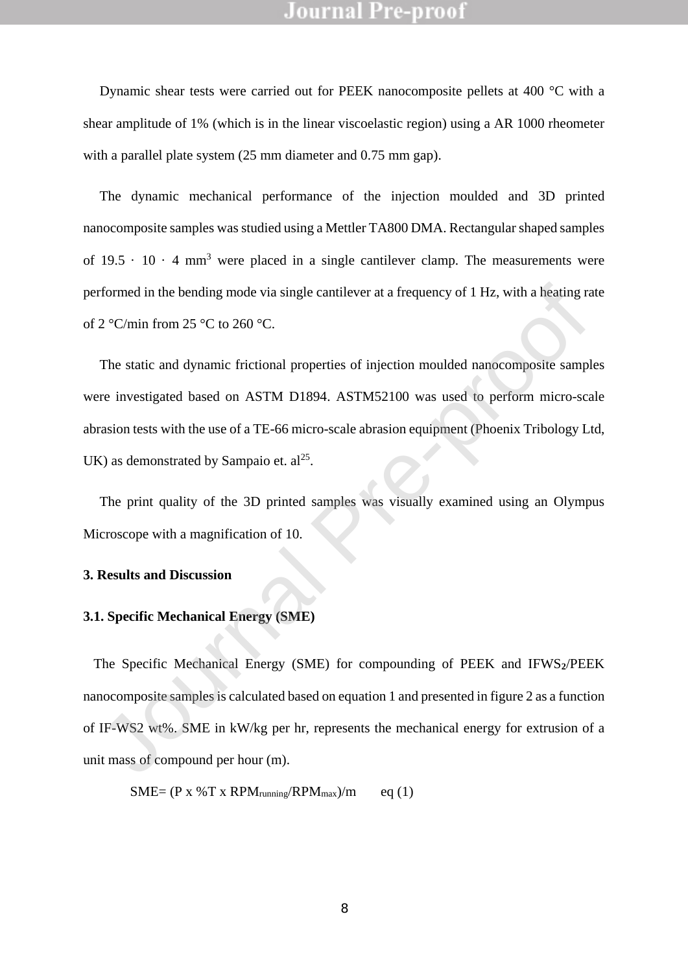Dynamic shear tests were carried out for PEEK nanocomposite pellets at 400 °C with a shear amplitude of 1% (which is in the linear viscoelastic region) using a AR 1000 rheometer with a parallel plate system (25 mm diameter and 0.75 mm gap).

The dynamic mechanical performance of the injection moulded and 3D printed nanocomposite samples was studied using a Mettler TA800 DMA. Rectangular shaped samples of  $19.5 \cdot 10 \cdot 4 \text{ mm}^3$  were placed in a single cantilever clamp. The measurements were performed in the bending mode via single cantilever at a frequency of 1 Hz, with a heating rate of 2 °C/min from 25 °C to 260 °C.

The static and dynamic frictional properties of injection moulded nanocomposite samples were investigated based on ASTM D1894. ASTM52100 was used to perform micro-scale abrasion tests with the use of a TE-66 micro-scale abrasion equipment (Phoenix Tribology Ltd, UK) as demonstrated by Sampaio et.  $al<sup>25</sup>$ . rformed in the bending mode via single cantilever at a frequency of 1 Hz, with a heating rat  $2$  °C/min from  $25$  °C to  $260$  °C.<br>The static and dynamic frictional properties of injection moulded nanocomposite sample<br>re-i

The print quality of the 3D printed samples was visually examined using an Olympus Microscope with a magnification of 10.

### **3. Results and Discussion**

### **3.1. Specific Mechanical Energy (SME)**

 The Specific Mechanical Energy (SME) for compounding of PEEK and IFWS**2**/PEEK nanocomposite samples is calculated based on equation 1 and presented in figure 2 as a function of IF-WS2 wt%. SME in kW/kg per hr, represents the mechanical energy for extrusion of a unit mass of compound per hour (m).

$$
SME = (P x % T x RPM_{running} / RPM_{max})/m \qquad eq (1)
$$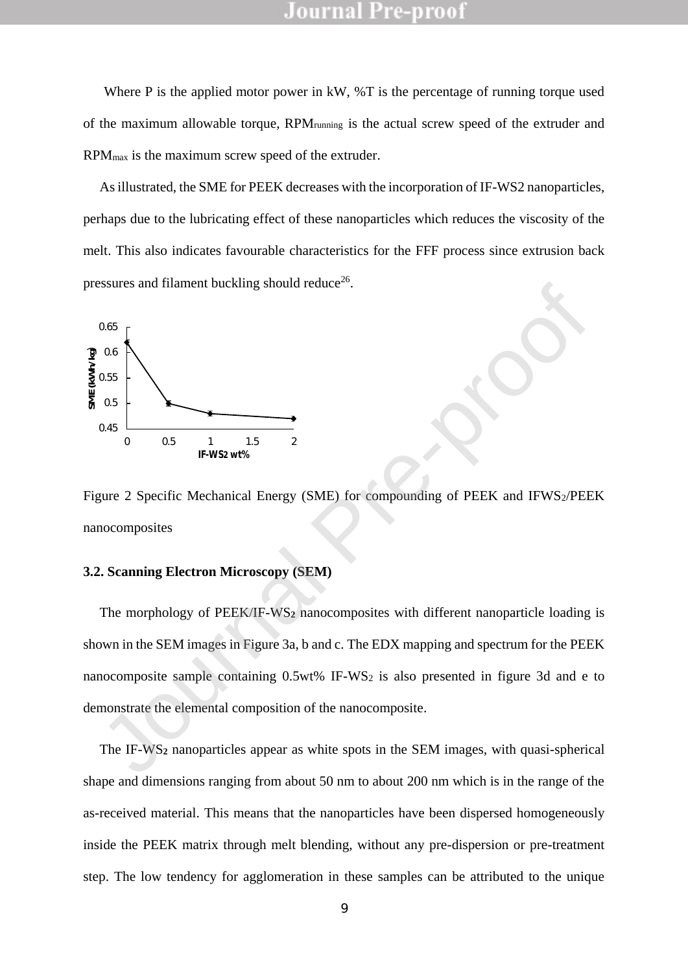Where P is the applied motor power in kW, %T is the percentage of running torque used of the maximum allowable torque, RPMrunning is the actual screw speed of the extruder and RPMmax is the maximum screw speed of the extruder.

As illustrated, the SME for PEEK decreases with the incorporation of IF-WS2 nanoparticles, perhaps due to the lubricating effect of these nanoparticles which reduces the viscosity of the melt. This also indicates favourable characteristics for the FFF process since extrusion back pressures and filament buckling should reduce<sup>26</sup>.



Figure 2 Specific Mechanical Energy (SME) for compounding of PEEK and IFWS2/PEEK nanocomposites

#### **3.2. Scanning Electron Microscopy (SEM)**

The morphology of PEEK/IF-WS**<sup>2</sup>** nanocomposites with different nanoparticle loading is shown in the SEM images in Figure 3a, b and c. The EDX mapping and spectrum for the PEEK nanocomposite sample containing 0.5wt% IF-WS<sup>2</sup> is also presented in figure 3d and e to demonstrate the elemental composition of the nanocomposite. <sup>0.65</sup><br>
<sup>0.65</sup><br>
<sup>0.65</sup><br>
<sup>0.65</sup><br>
<sup>0.65</sup><br>
<sup>1.7</sup>WS2 wt<sup>8</sup><sup>5</sup><br>
<sup>1.5</sup><br> **Pure 2 Specific Mechanical Energy (SME) for compounding of PEEK and IFWS<sub>2</sub>PEI<br>
nocomposites<br>
2. Scanning Electron Microscopy (SEM)<br>
The morphology of PEEK** 

The IF-WS**<sup>2</sup>** nanoparticles appear as white spots in the SEM images, with quasi-spherical shape and dimensions ranging from about 50 nm to about 200 nm which is in the range of the as-received material. This means that the nanoparticles have been dispersed homogeneously inside the PEEK matrix through melt blending, without any pre-dispersion or pre-treatment step. The low tendency for agglomeration in these samples can be attributed to the unique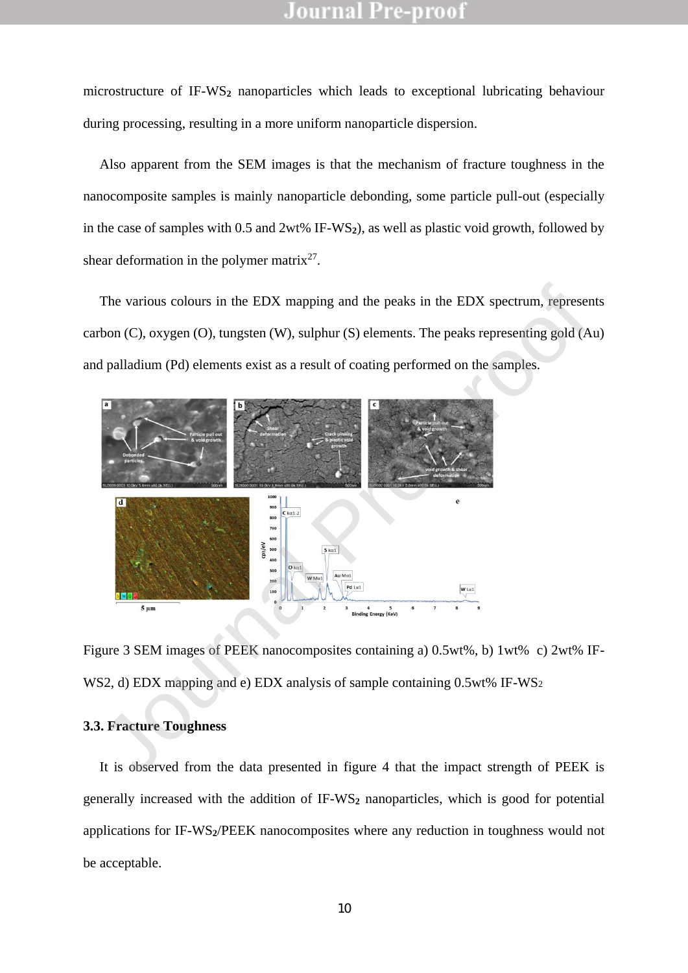microstructure of IF-WS**<sup>2</sup>** nanoparticles which leads to exceptional lubricating behaviour during processing, resulting in a more uniform nanoparticle dispersion.

Also apparent from the SEM images is that the mechanism of fracture toughness in the nanocomposite samples is mainly nanoparticle debonding, some particle pull-out (especially in the case of samples with 0.5 and 2wt% IF-WS**2**), as well as plastic void growth, followed by shear deformation in the polymer matrix<sup>27</sup>.

The various colours in the EDX mapping and the peaks in the EDX spectrum, represents carbon (C), oxygen (O), tungsten (W), sulphur (S) elements. The peaks representing gold (Au) and palladium (Pd) elements exist as a result of coating performed on the samples.



Figure 3 SEM images of PEEK nanocomposites containing a) 0.5wt%, b) 1wt% c) 2wt% IF-WS2, d) EDX mapping and e) EDX analysis of sample containing 0.5wt% IF-WS<sub>2</sub>

#### **3.3. Fracture Toughness**

It is observed from the data presented in figure 4 that the impact strength of PEEK is generally increased with the addition of IF-WS**<sup>2</sup>** nanoparticles, which is good for potential applications for IF-WS**2**/PEEK nanocomposites where any reduction in toughness would not be acceptable.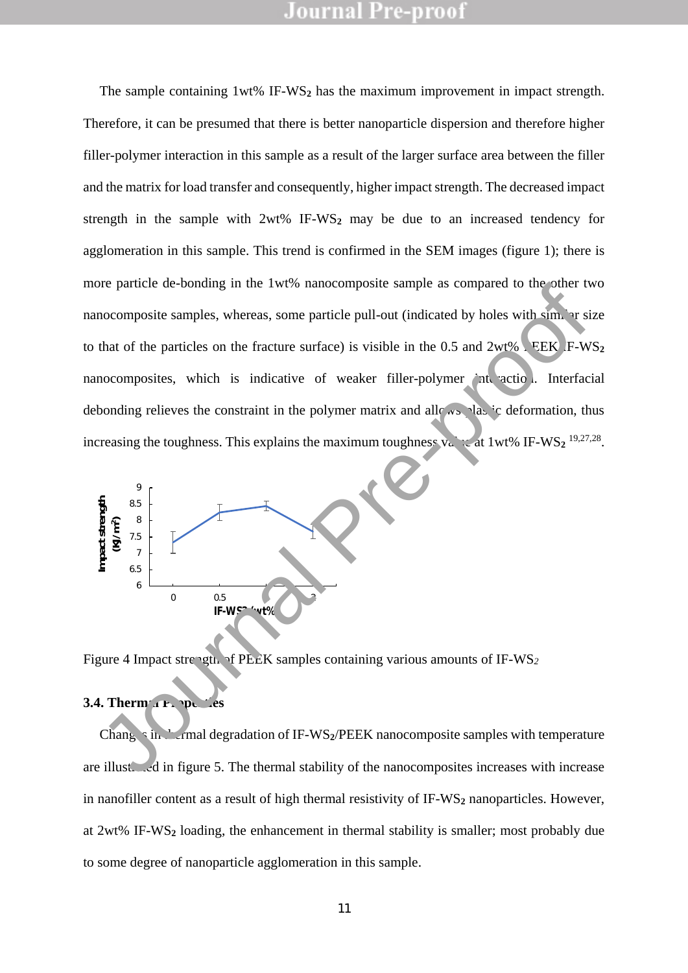The sample containing 1wt% IF-WS**<sup>2</sup>** has the maximum improvement in impact strength. Therefore, it can be presumed that there is better nanoparticle dispersion and therefore higher filler-polymer interaction in this sample as a result of the larger surface area between the filler and the matrix for load transfer and consequently, higher impact strength. The decreased impact strength in the sample with 2wt% IF-WS**<sup>2</sup>** may be due to an increased tendency for agglomeration in this sample. This trend is confirmed in the SEM images (figure 1); there is more particle de-bonding in the 1wt% nanocomposite sample as compared to the other two nanocomposite samples, whereas, some particle pull-out (indicated by holes with similar size to that of the particles on the fracture surface) is visible in the  $0.5$  and  $2wt\%$ . EEK F-WS<sub>2</sub> nanocomposites, which is indicative of weaker filler-polymer interaction. Interfacial debonding relieves the constraint in the polymer matrix and allows plastic deformation, thus increasing the toughness. This explains the maximum toughness  $v_a$   $\sim$  at 1wt% IF-WS<sub>2</sub><sup>19,27,28</sup>. **IF-WS2 (WEST)**<br> **IF-WS2 (WEST)** Journal dependation of IF-WS2/PEEK nanocomposite samples with similar and protection.<br> **IF-WS2 (WEST)**<br> **IF-WS2 (WEST)** Journal Pre-professor is visible in the 0.5 and 2wt%). FEEK F-W<br>
moco



Figure 4 Impact strength of PEEK samples containing various amounts of IF-WS<sub>2</sub>

#### **3.4. Thermal Properties**

Changes in the rmal degradation of IF-WS<sub>2</sub>/PEEK nanocomposite samples with temperature are illustrated in figure 5. The thermal stability of the nanocomposites increases with increase in nanofiller content as a result of high thermal resistivity of IF-WS<sub>2</sub> nanoparticles. However, at 2wt% IF-WS**<sup>2</sup>** loading, the enhancement in thermal stability is smaller; most probably due to some degree of nanoparticle agglomeration in this sample.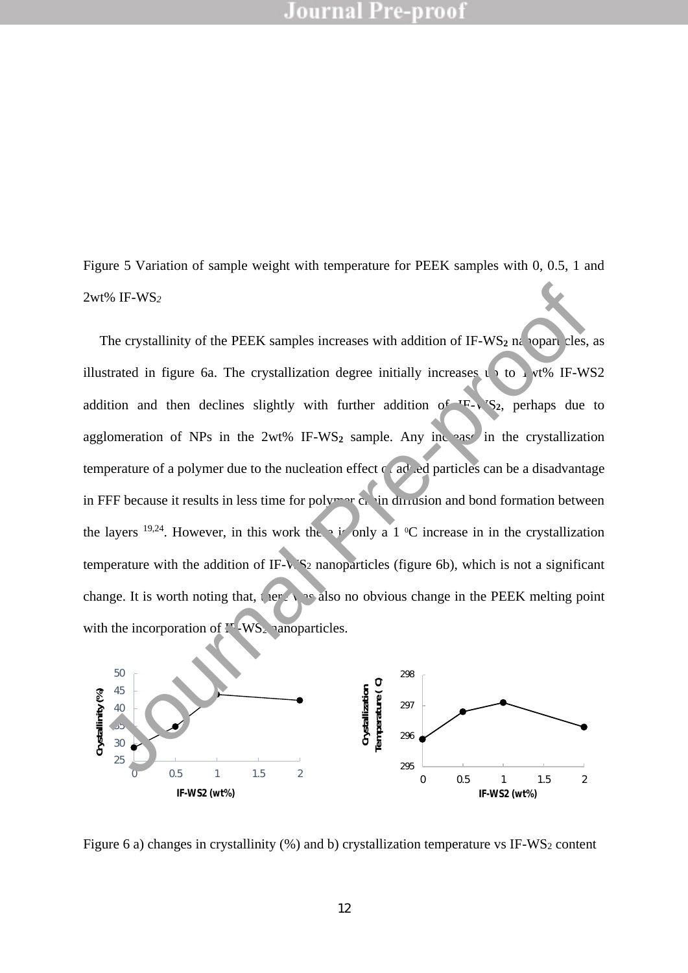Figure 5 Variation of sample weight with temperature for PEEK samples with 0, 0.5, 1 and 2wt% IF-WS*<sup>2</sup>*

The crystallinity of the PEEK samples increases with addition of IF-WS<sub>2</sub> na<sub>noparticles</sub>, as illustrated in figure 6a. The crystallization degree initially increases up to 1  $vt\%$  IF-WS2 addition and then declines slightly with further addition of  $IF - V'S<sub>2</sub>$ , perhaps due to agglomeration of NPs in the  $2wt\%$  IF-WS<sub>2</sub> sample. Any increase in the crystallization temperature of a polymer due to the nucleation effect  $\alpha$  added particles can be a disadvantage in FFF because it results in less time for poly  $\sim$  chain diffusion and bond formation between the layers <sup>19,24</sup>. However, in this work the is only a 1  $\degree$ C increase in in the crystallization temperature with the addition of IF- $\sqrt{S_2}$  nanoparticles (figure 6b), which is not a significant change. It is worth noting that, there was also no obvious change in the PEEK melting point with the incorporation of  $I^{\dagger}$ -WS<sub>2</sub> nanoparticles. The crystallinity of the PEEK samples increases with addition of IE-WS<sub>2</sub> m opan Hes, a<br>ustrated in figure 6a. The crystallization degree initially increases (1 to 1 ye8 IE-WS<br>dition and then declines slightly with furthe



Figure 6 a) changes in crystallinity  $(\%)$  and b) crystallization temperature vs IF-WS<sub>2</sub> content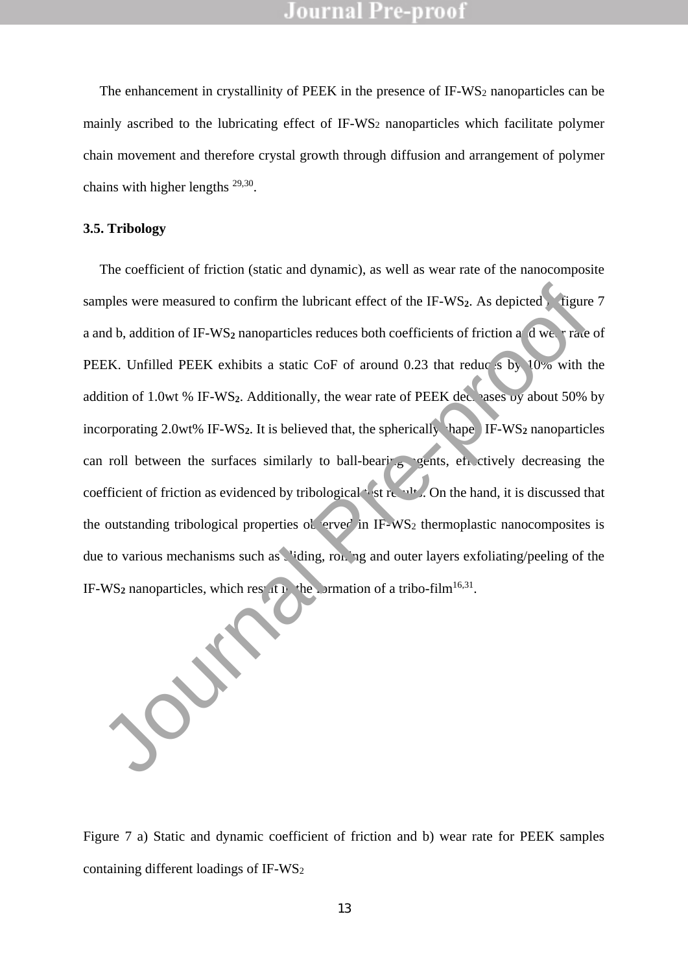The enhancement in crystallinity of PEEK in the presence of IF-WS<sub>2</sub> nanoparticles can be mainly ascribed to the lubricating effect of IF-WS<sup>2</sup> nanoparticles which facilitate polymer chain movement and therefore crystal growth through diffusion and arrangement of polymer chains with higher lengths  $29,30$ .

#### **3.5. Tribology**

The coefficient of friction (static and dynamic), as well as wear rate of the nanocomposite samples were measured to confirm the lubricant effect of the IF-WS<sub>2</sub>. As depicted in figure 7 a and b, addition of IF-WS<sub>2</sub> nanoparticles reduces both coefficients of friction and wear rate of PEEK. Unfilled PEEK exhibits a static CoF of around 0.23 that reduces by  $10\%$  with the addition of 1.0wt % IF-WS<sub>2</sub>. Additionally, the wear rate of PEEK decreases by about 50% by incorporating 2.0wt% IF-WS<sub>2</sub>. It is believed that, the spherically shape  $\lfloor$  IF-WS<sub>2</sub> nanoparticles can roll between the surfaces similarly to ball-bearing  $\epsilon$  exists, etc. ctively decreasing the coefficient of friction as evidenced by tribological st results. On the hand, it is discussed that the outstanding tribological properties observed in IF-WS<sub>2</sub> thermoplastic nanocomposites is due to various mechanisms such as viding, rolling and outer layers exfoliating/peeling of the IF-WS<sub>2</sub> nanoparticles, which result in the primation of a tribo-film<sup>16,31</sup>. mples were measured to confirm the lubricant effect of the IF-WS<sub>2</sub>. As depicted, Tigure<br>and b, addition of IF-WS<sub>2</sub> nanoparticles reduces both coefficients of friction a dwe, Trace<br>EEK. Unfilled PEEK exhibits a static CoF

Figure 7 a) Static and dynamic coefficient of friction and b) wear rate for PEEK samples containing different loadings of IF-WS<sup>2</sup>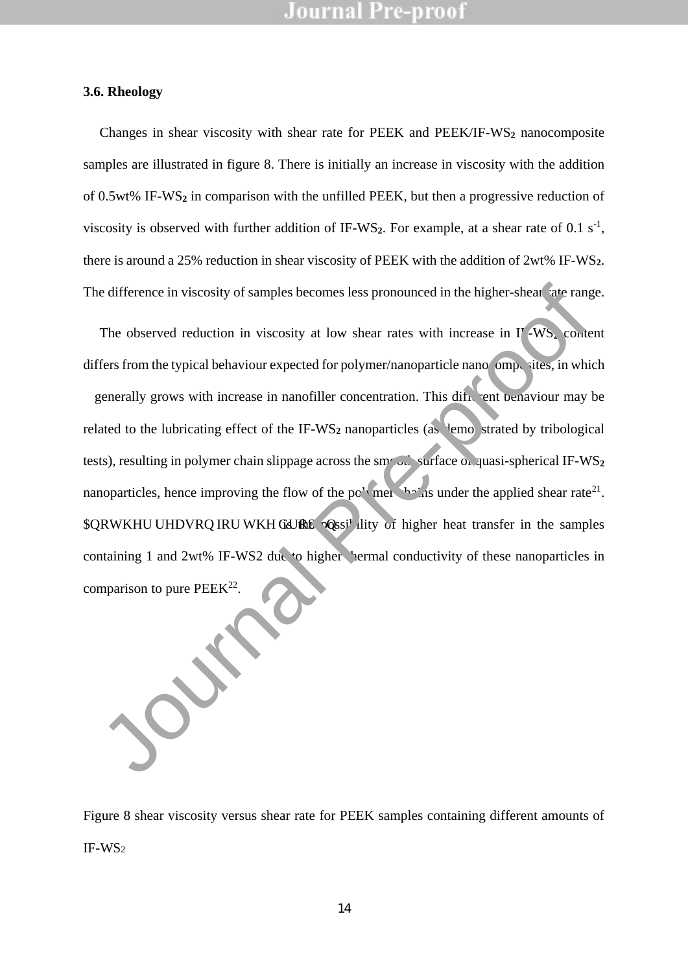#### **3.6. Rheology**

Changes in shear viscosity with shear rate for PEEK and PEEK/IF-WS**<sup>2</sup>** nanocomposite samples are illustrated in figure 8. There is initially an increase in viscosity with the addition of 0.5wt% IF-WS**<sup>2</sup>** in comparison with the unfilled PEEK, but then a progressive reduction of viscosity is observed with further addition of IF-WS<sub>2</sub>. For example, at a shear rate of 0.1  $s^{-1}$ , there is around a 25% reduction in shear viscosity of PEEK with the addition of 2wt% IF-WS**2**. The difference in viscosity of samples becomes less pronounced in the higher-shear rate range.

The observed reduction in viscosity at low shear rates with increase in I<sup>T</sup>-WS<sub>2</sub> content differs from the typical behaviour expected for polymer/nanoparticle nanoe  $\rho$  ites, in which generally grows with increase in nanofiller concentration. This different behaviour may be related to the lubricating effect of the IF-WS<sub>2</sub> nanoparticles (as demonstrated by tribological tests), resulting in polymer chain slippage across the smooth surface of quasi-spherical IF-WS<sub>2</sub> nanoparticles, hence improving the flow of the po<sup>t</sup> mer the applied shear rate<sup>21</sup>. **QRWKHU UHDVRQ IRU WKH GURS** Poss<sup>i</sup> ility of higher heat transfer in the samples containing 1 and 2wt% IF-WS2 due to higher thermal conductivity of these nanoparticles in comparison to pure  $PEEK^{22}$ . is difference in viscosity of samples becomes less pronounced in the higher-shear atte range.<br>The observed reduction in viscosity at low shear rates with increase in  $\Gamma$  WS. contents from the typical behaviour expected fo

Figure 8 shear viscosity versus shear rate for PEEK samples containing different amounts of IF-WS<sup>2</sup>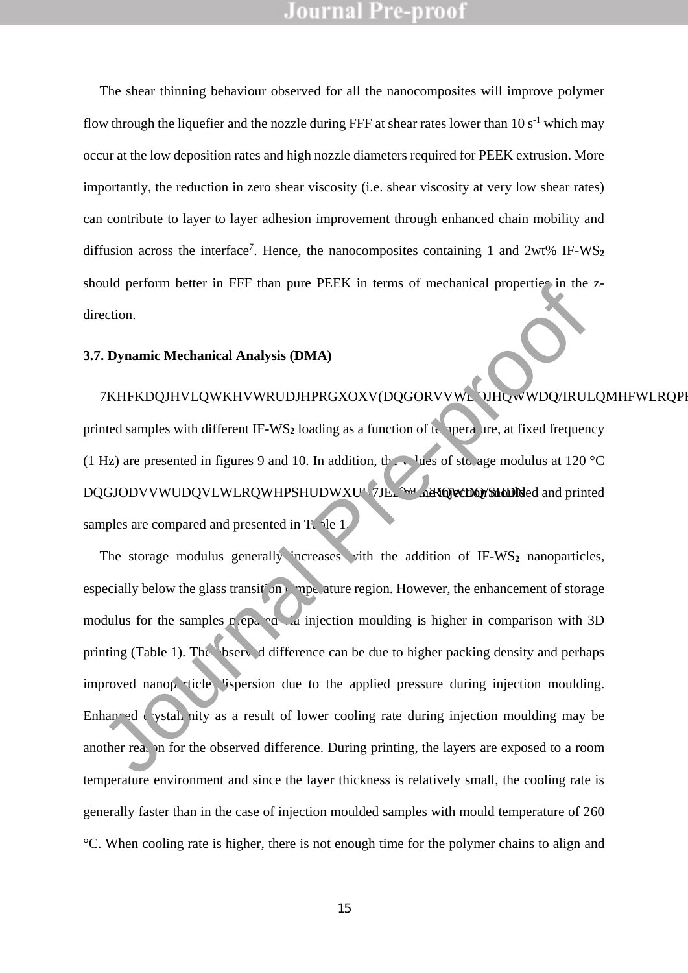The shear thinning behaviour observed for all the nanocomposites will improve polymer flow through the liquefier and the nozzle during FFF at shear rates lower than  $10 s<sup>-1</sup>$  which may occur at the low deposition rates and high nozzle diameters required for PEEK extrusion. More importantly, the reduction in zero shear viscosity (i.e. shear viscosity at very low shear rates) can contribute to layer to layer adhesion improvement through enhanced chain mobility and diffusion across the interface<sup>7</sup> . Hence, the nanocomposites containing 1 and 2wt% IF-WS**<sup>2</sup>** should perform better in FFF than pure PEEK in terms of mechanical properties in the zdirection.

#### **3.7. Dynamic Mechanical Analysis (DMA)**

#### 7KHKD**Q**/KWRDJR@QWDQ/WDQRMHWRQR@Q

printed samples with different IF-WS<sub>2</sub> loading as a function of  $t_{\text{t}}$  nperature, at fixed frequency (1 Hz) are presented in figures 9 and 10. In addition, the values of sto age modulus at 120 °C DQGJODVVWUDQVLWLRQWHPSHUDWXU<sup>V</sup>7JE. WHERQWDQYSHDDNed and printed samples are compared and presented in T<sub>c</sub> le 1.

The storage modulus generally increases vith the addition of IF-WS<sub>2</sub> nanoparticles, especially below the glass transition temperature region. However, the enhancement of storage modulus for the samples prepared via injection moulding is higher in comparison with 3D printing (Table 1). The bserved difference can be due to higher packing density and perhaps improved nanop, ticle lispersion due to the applied pressure during injection moulding. Enhanced crystallinity as a result of lower cooling rate during injection moulding may be another reason for the observed difference. During printing, the layers are exposed to a room temperature environment and since the layer thickness is relatively small, the cooling rate is generally faster than in the case of injection moulded samples with mould temperature of 260 °C. When cooling rate is higher, there is not enough time for the polymer chains to align and The proof of the samples are set of the same of the same of the same of the real of the real of the real of the real of the real of the real of the real of the real of the real of the real of the same pre-produced with dif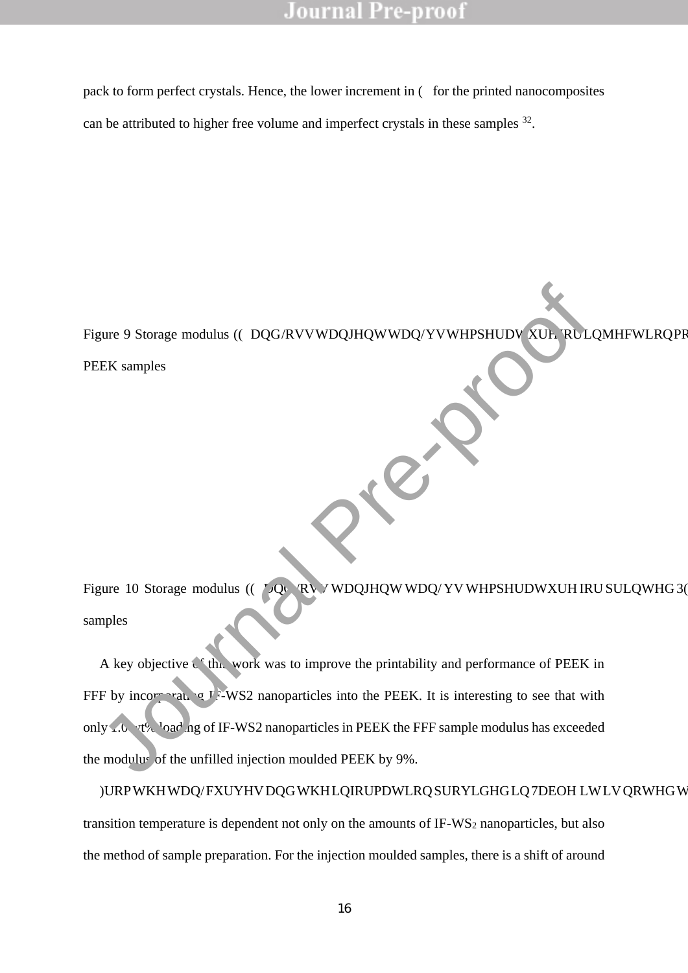pack to form perfect crystals. Hence, the lower increment in (• for the printed nanocomposites can be attributed to higher free volume and imperfect crystals in these samples  $32$ .

Figure 9 Storage modulus (( $\cdot$  DQG/RVVWDQJHQWWDQ/YVWHPSHUDV XUL RULQMHFWLRQPF PEEK samples

Figure 10 Storage modulus (( $\cdot$  LQG RV V WDQJHQW WDQ/YV WHPSHUDWXUH IRU SULQWHG 3( samples

A key objective  $\zeta^*$  this work was to improve the printability and performance of PEEK in FFF by incorporation  $\sigma$  I EWS2 nanoparticles into the PEEK. It is interesting to see that with only 1.0  $v_1$ <sup>0</sup>  $v_2$ <sup>1</sup>  $\alpha$ <sup>1</sup>  $\alpha$ <sup>1</sup>  $\alpha$  of IF-WS2 nanoparticles in PEEK the FFF sample modulus has exceeded the modulus of the unfilled injection moulded PEEK by 9%. EEK samples<br>
JEK samples<br>
JEK samples<br>
JEK samples<br>
JEK samples<br>
A key objective C. Thu, work was to improve the printability and performance of PEEK<br>
Thy incorrection of the unfilled injection moulded PEEK the FFF sample

)URPWKHWDQ/FXUYHVDQGWKHLQIRUPDWLRQSURYLGHGLQ7DEOHLWLVQRWHGW transition temperature is dependent not only on the amounts of IF-WS<sup>2</sup> nanoparticles, but also the method of sample preparation. For the injection moulded samples, there is a shift of around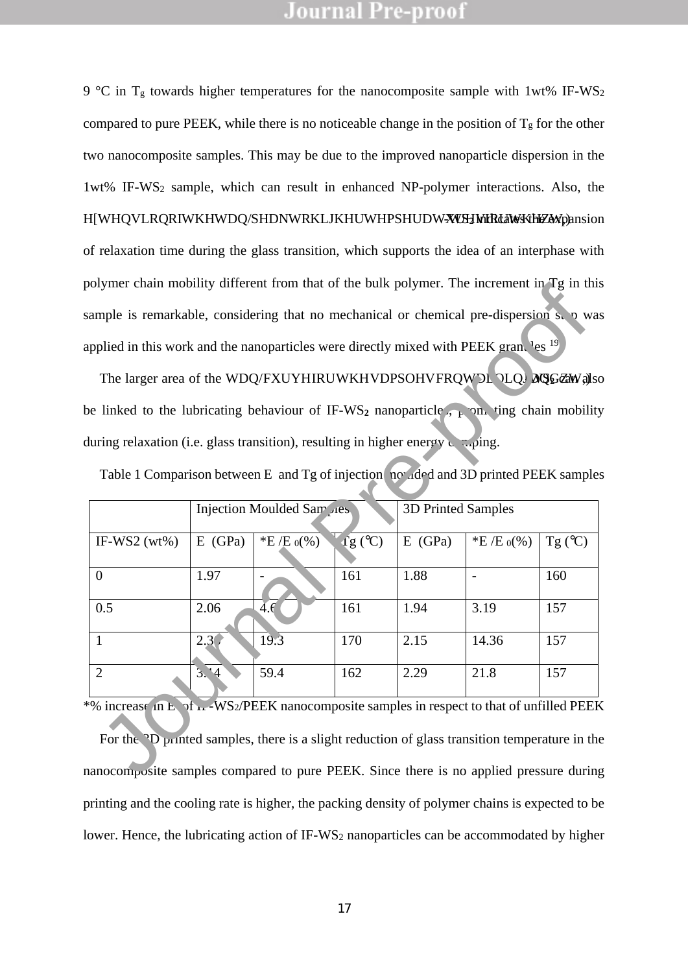9 °C in T<sub>g</sub> towards higher temperatures for the nanocomposite sample with 1wt% IF-WS<sub>2</sub> compared to pure PEEK, while there is no noticeable change in the position of  $T_g$  for the other two nanocomposite samples. This may be due to the improved nanoparticle dispersion in the 1wt% IF-WS<sup>2</sup> sample, which can result in enhanced NP-polymer interactions. Also, the HWHQVLRQRIWKHWDQ/SHDNWRKLJKHUWHPSHUDWXWHMHdMKHEW,pansion of relaxation time during the glass transition, which supports the idea of an interphase with polymer chain mobility different from that of the bulk polymer. The increment in Tg in this sample is remarkable, considering that no mechanical or chemical pre-dispersion s, p was applied in this work and the nanoparticles were directly mixed with PEEK granules  $19$ 

<span id="page-17-0"></span>

| ) originer chain modifity different from that of the buik polymer. The increment in Eq. in this                                                                                                      |            |                            |                      |            |                           |                  |  |  |
|------------------------------------------------------------------------------------------------------------------------------------------------------------------------------------------------------|------------|----------------------------|----------------------|------------|---------------------------|------------------|--|--|
| ample is remarkable, considering that no mechanical or chemical pre-dispersion s. p was                                                                                                              |            |                            |                      |            |                           |                  |  |  |
| applied in this work and the nanoparticles were directly mixed with PEEK gran. <sup>1</sup> es <sup>19</sup>                                                                                         |            |                            |                      |            |                           |                  |  |  |
| The larger area of the WDQ/FXUYHIRUWKHVDPSOHVFRQW'DL OLQJ MOGZAW also                                                                                                                                |            |                            |                      |            |                           |                  |  |  |
| be linked to the lubricating behaviour of IF-WS <sub>2</sub> nanoparticle, $\frac{1}{k}$ on ting chain mobility                                                                                      |            |                            |                      |            |                           |                  |  |  |
| during relaxation (i.e. glass transition), resulting in higher energy $\Box$ ping.                                                                                                                   |            |                            |                      |            |                           |                  |  |  |
| Table 1 Comparison between E [and Tg of injection [not d] d and 3D printed PEEK samples                                                                                                              |            |                            |                      |            |                           |                  |  |  |
|                                                                                                                                                                                                      |            | Injection Moulded Sar ples |                      |            | <b>3D Printed Samples</b> |                  |  |  |
| IF-WS2 $(wt\%)$                                                                                                                                                                                      | $E$ [(GPa) | *E $[{\rm E} \, \phi(%)]$  | $\overline{fg}$ (°C) | $E$ [(GPa) | *E $E \{E \phi($ %)       | Tg $(^{\circ}C)$ |  |  |
| $\overline{0}$                                                                                                                                                                                       | 1.97       |                            | 161                  | 1.88       | $\overline{\phantom{a}}$  | 160              |  |  |
| 0.5                                                                                                                                                                                                  | 2.06       | 4.6                        | 161                  | 1.94       | 3.19                      | 157              |  |  |
| $\mathbf{1}$                                                                                                                                                                                         | 2.3(       | 19.3                       | 170                  | 2.15       | 14.36                     | 157              |  |  |
| $\overline{2}$                                                                                                                                                                                       | 3.4        | 59.4                       | 162                  | 2.29       | 21.8                      | 157              |  |  |
| % increase in E. of in -WS2/PEEK nanocomposite samples in respect to that of unfilled PEEK                                                                                                           |            |                            |                      |            |                           |                  |  |  |
| For the <sup>2</sup> D printed samples, there is a slight reduction of glass transition temperature in the<br>nanocomposite samples compared to pure PEEK. Since there is no applied pressure during |            |                            |                      |            |                           |                  |  |  |

For the <sup>3</sup>D printed samples, there is a slight reduction of glass transition temperature in the nanocomposite samples compared to pure PEEK. Since there is no applied pressure during printing and the cooling rate is higher, the packing density of polymer chains is expected to be lower. Hence, the lubricating action of IF-WS<sub>2</sub> nanoparticles can be accommodated by higher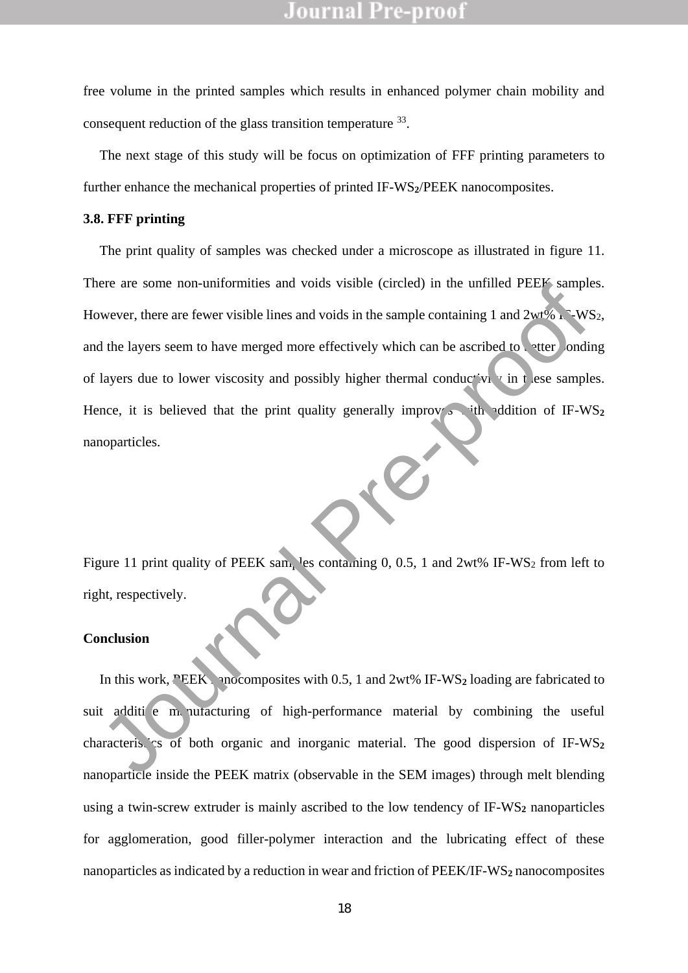free volume in the printed samples which results in enhanced polymer chain mobility and consequent reduction of the glass transition temperature <sup>33</sup>.

The next stage of this study will be focus on optimization of FFF printing parameters to further enhance the mechanical properties of printed IF-WS**2**/PEEK nanocomposites.

#### **3.8. FFF printing**

The print quality of samples was checked under a microscope as illustrated in figure 11. There are some non-uniformities and voids visible (circled) in the unfilled PEEK samples. However, there are fewer visible lines and voids in the sample containing 1 and  $2wt\%$  IF-WS<sub>2</sub>, and the layers seem to have merged more effectively which can be ascribed to etter onding of layers due to lower viscosity and possibly higher thermal conductivity in these samples. Hence, it is believed that the print quality generally improves with addition of  $IF-WS<sub>2</sub>$ nanoparticles. EVERTHAND TO THE MORE THAN THE SERVIDE CONSIDERATION OF THE MORE CONSIDERATION OF THE MORE CONSIDERATION OF THE MORE CONSIDERATION OF THE MORE CONSIDERATION OF THE MORE CONSIDERATION OF THE MORE CONSIDERATION OF THE MORE C

Figure 11 print quality of PEEK sam<sub>p</sub>les containing 0, 0.5, 1 and 2wt% IF-WS<sub>2</sub> from left to right, respectively.

#### **Conclusion**

In this work, PEEK nonocomposites with 0.5, 1 and  $2wt\%$  IF-WS<sub>2</sub> loading are fabricated to suit additive manufacturing of high-performance material by combining the useful characteristics of both organic and inorganic material. The good dispersion of  $IF-WS<sub>2</sub>$ nanoparticle inside the PEEK matrix (observable in the SEM images) through melt blending using a twin-screw extruder is mainly ascribed to the low tendency of IF-WS<sub>2</sub> nanoparticles for agglomeration, good filler-polymer interaction and the lubricating effect of these nanoparticles as indicated by a reduction in wear and friction of PEEK/IF-WS<sub>2</sub> nanocomposites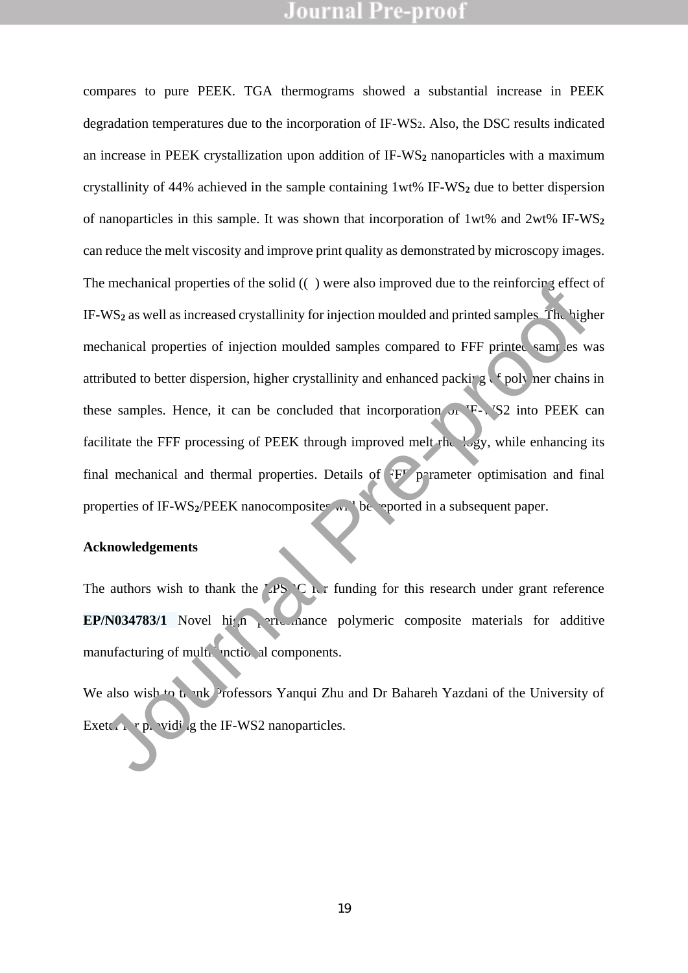compares to pure PEEK. TGA thermograms showed a substantial increase in PEEK degradation temperatures due to the incorporation of IF-WS2. Also, the DSC results indicated an increase in PEEK crystallization upon addition of IF-WS**<sup>2</sup>** nanoparticles with a maximum crystallinity of 44% achieved in the sample containing 1wt% IF-WS**<sup>2</sup>** due to better dispersion of nanoparticles in this sample. It was shown that incorporation of 1wt% and 2wt% IF-WS**<sup>2</sup>** can reduce the melt viscosity and improve print quality as demonstrated by microscopy images. The mechanical properties of the solid ((• ) were also improved due to the reinforcing effect of IF-WS<sub>2</sub> as well as increased crystallinity for injection moulded and printed samples. The higher mechanical properties of injection moulded samples compared to FFF printed samples was attributed to better dispersion, higher crystallinity and enhanced packing  $\epsilon$  foll ner chains in these samples. Hence, it can be concluded that incorporation of  $\mathbb{F}^1$ , S<sub>2</sub> into PEEK can facilitate the FFF processing of PEEK through improved melt rheology, while enhancing its final mechanical and thermal properties. Details of  $F\overline{F}$  p rameter optimisation and final properties of IF-WS<sub>2</sub>/PEEK nanocomposite w<sub>1</sub> be reported in a subsequent paper. The mechanical properties of the solid ((\*) were also improved due to the tentotency errect<br>H<sup>2</sup>-WS<sub>2</sub> as well as increased crystallinity for injection moulded and primed samples. The high<br>mechanical properties of injecti

#### **Acknowledgements**

The authors wish to thank the LPS C is funding for this research under grant reference **EP/N034783/1** Novel high performance polymeric composite materials for additive manufacturing of multigunctional components.

We also wish to the  $nk$  Professors Yanqui Zhu and Dr Bahareh Yazdani of the University of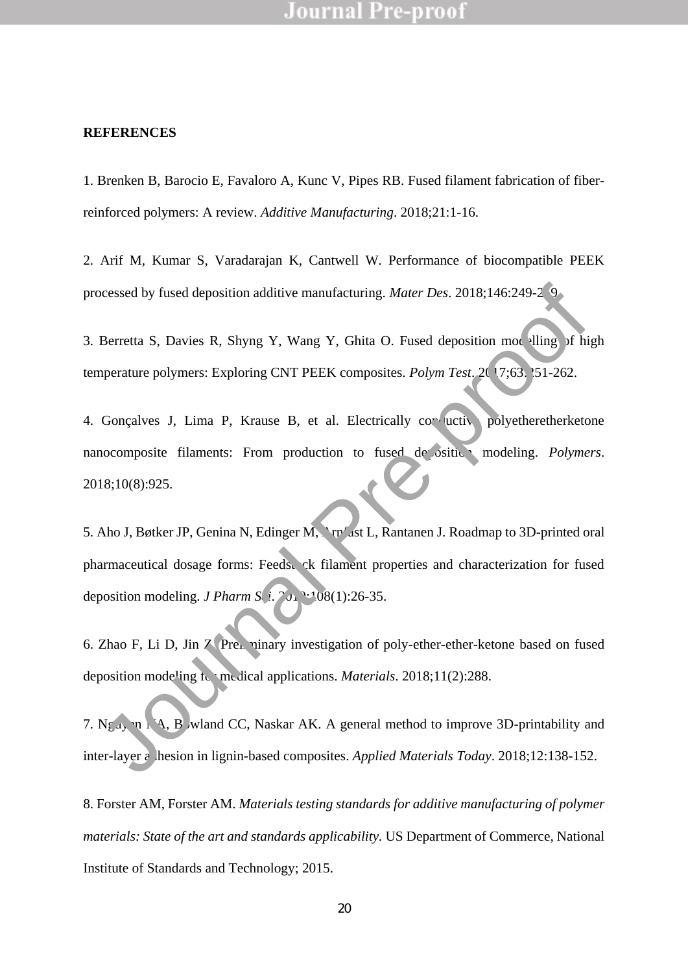#### **REFERENCES**

1. Brenken B, Barocio E, Favaloro A, Kunc V, Pipes RB. Fused filament fabrication of fiberreinforced polymers: A review. *Additive Manufacturing*. 2018;21:1-16.

2. Arif M, Kumar S, Varadarajan K, Cantwell W. Performance of biocompatible PEEK processed by fused deposition additive manufacturing. *Mater Des.* 2018;146:249-2

3. Berretta S, Davies R, Shyng Y, Wang Y, Ghita O. Fused deposition modelling of high temperature polymers: Exploring CNT PEEK composites. *Polym Test.* 2017;63:151-262.

4. Gonçalves J, Lima P, Krause B, et al. Electrically con uctive polyetheretherketone nanocomposite filaments: From production to fused deposition modeling. *Polymers*. 2018;10(8):925.

5. Aho J, Bøtker JP, Genina N, Edinger M, Arrivast L, Rantanen J. Roadmap to 3D-printed oral pharmaceutical dosage forms: Feedstock filament properties and characterization for fused deposition modeling. *J Pharm S* $\left(1, 2, 1\right)$   $\cdot$  108(1):26-35. ocessed by fused deposition additive manufacturing. *Mater Des.* 2018;146:249-2<sup>5</sup>9.<br>
Berretta S, Davies R, Shyng Y, Wang Y, Ghita O. Fused deposition mot lling of hipperature polymers: Exploring CNT PEEK composites. *Poly* 

6. Zhao F, Li D, Jin Z. Preliminary investigation of poly-ether-ether-ketone based on fused deposition modeling for medical applications. *Materials*. 2018;11(2):288.

7. Ngu<sub>y</sub> n  $\Lambda$ , B wland CC, Naskar AK. A general method to improve 3D-printability and inter-layer a hesion in lignin-based composites. *Applied Materials Today*. 2018;12:138-152.

8. Forster AM, Forster AM. *Materials testing standards for additive manufacturing of polymer materials: State of the art and standards applicability.* US Department of Commerce, National Institute of Standards and Technology; 2015.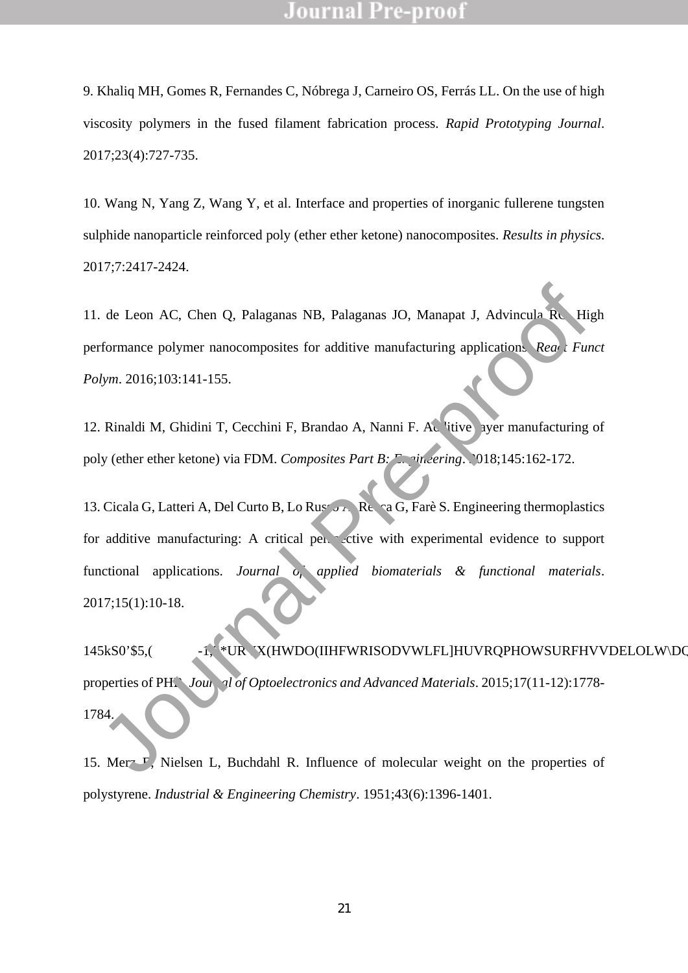9. Khaliq MH, Gomes R, Fernandes C, Nóbrega J, Carneiro OS, Ferrás LL. On the use of high viscosity polymers in the fused filament fabrication process. *Rapid Prototyping Journal*. 2017;23(4):727-735.

10. Wang N, Yang Z, Wang Y, et al. Interface and properties of inorganic fullerene tungsten sulphide nanoparticle reinforced poly (ether ether ketone) nanocomposites. *Results in physics*. 2017;7:2417-2424.

11. de Leon AC, Chen Q, Palaganas NB, Palaganas JO, Manapat J, Advincula RC. High performance polymer nanocomposites for additive manufacturing applications. *React Funct Polym*. 2016;103:141-155.

12. Rinaldi M, Ghidini T, Cecchini F, Brandao A, Nanni F. Additive layer manufacturing of poly (ether ether ketone) via FDM. *Composites Part B: Engineering*. 2018;145:162-172.

13. Cicala G, Latteri A, Del Curto B, Lo Russo A, Reca G, Farè S. Engineering thermoplastics for additive manufacturing: A critical perspective with experimental evidence to support functional applications. *Journal of applied biomaterials & functional materials*. 2017;15(1):10-18. 3. de Leon AC, Chen Q, Palaganas NB, Palaganas JO, Manapat J, Advincula Re Hightermance polymer nanocomposites for additive manufacturing application. Rea. Fundow, 2016;103:141-155.<br>
1. Rinaldi M, Ghidini T, Cecchini F, Br

 $145kS0$ \$,( \*UR X(HWDO(IIHFWRISODVWLFLHUVRQPHOWSURFHVVDELOLWDQ properties of PHB. *Journal of Optoelectronics and Advanced Materials*. 2015;17(11-12):1778-1784.

15. Merz  $F$ , Nielsen L, Buchdahl R. Influence of molecular weight on the properties of polystyrene. *Industrial & Engineering Chemistry*. 1951;43(6):1396-1401.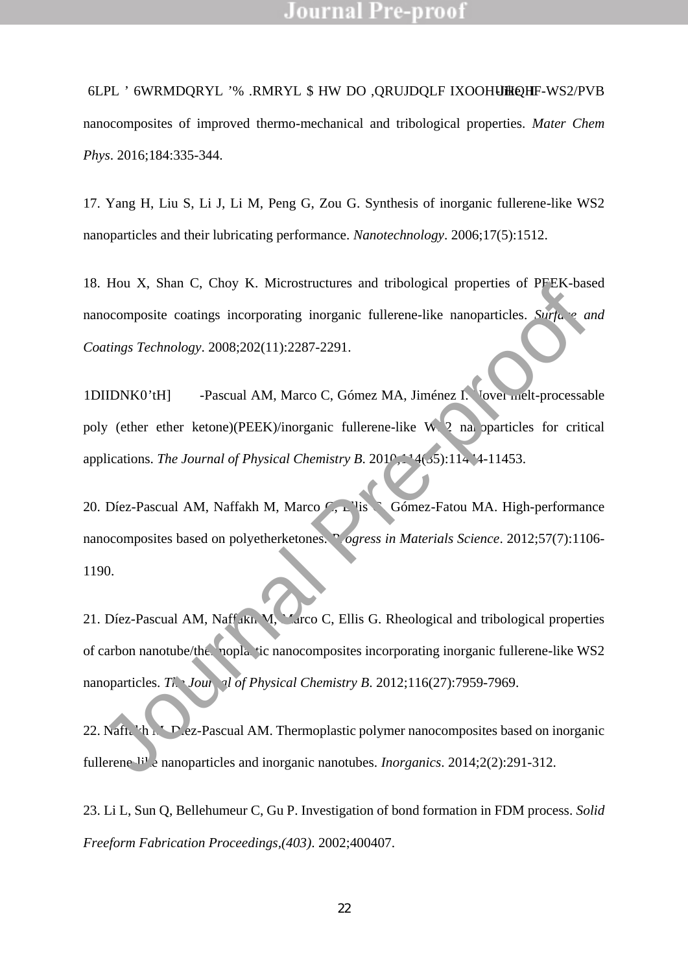6LPü ' 6WRMDQRYLü '% .RMYLü \$ HW DO ,QRUJDQLF IXOHUQ -like IF-WS2/PVB

nanocomposites of improved thermo-mechanical and tribological properties. *Mater Chem Phys*. 2016;184:335-344.

17. Yang H, Liu S, Li J, Li M, Peng G, Zou G. Synthesis of inorganic fullerene-like WS2 nanoparticles and their lubricating performance. *Nanotechnology*. 2006;17(5):1512.

18. Hou X, Shan C, Choy K. Microstructures and tribological properties of PEEK-based nanocomposite coatings incorporating inorganic fullerene-like nanoparticles. *Surface and Coatings Technology*. 2008;202(11):2287-2291.

1DIIDNK0tH] -Pascual AM, Marco C, Gómez MA, Jiménez I. Vover melt-processable poly (ether ether ketone)(PEEK)/inorganic fullerene-like W  $\,$  2 na oparticles for critical applications. *The Journal of Physical Chemistry B.* 2010;<sup>11</sup>4(35):114<sup>4</sup>-11453.

20. Díez-Pascual AM, Naffakh M, Marco C, Elis Gómez-Fatou MA, High-performance nanocomposites based on polyetherketones. *Progress in Materials Science*. 2012;57(7):1106-1190.

21. Díez-Pascual AM, Naff KL M, Marco C, Ellis G. Rheological and tribological properties of carbon nanotube/thenoplastic nanocomposites incorporating inorganic fullerene-like WS2 nanoparticles. *The Journal of Physical Chemistry B.* 2012;116(27):7959-7969. A shall C, Choy K. Microstructures and thotographyperities of *FPER-088*<br>
nocomposite coatings incorporating inorganic fullerene-like nanoparticles. Surface a<br>
notings *Technology*. 2008;202(11):2287-2291.<br>
DIDNK00HI -Pas

22. Naft,  $\mathbf{h} \in \mathbb{R}$  ez-Pascual AM. Thermoplastic polymer nanocomposites based on inorganic fullerence  $\mathbb{H}^1$  e nanoparticles and inorganic nanotubes. *Inorganics*. 2014;2(2):291-312.

23. Li L, Sun Q, Bellehumeur C, Gu P. Investigation of bond formation in FDM process. *Solid Freeform Fabrication Proceedings,(403)*. 2002;400407.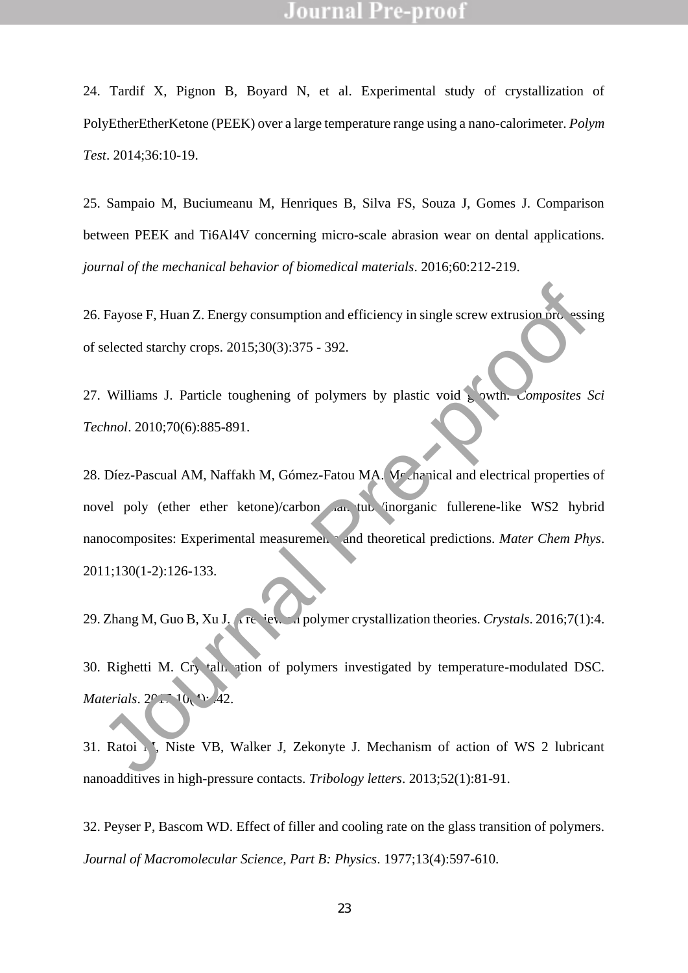24. Tardif X, Pignon B, Boyard N, et al. Experimental study of crystallization of PolyEtherEtherKetone (PEEK) over a large temperature range using a nano-calorimeter. *Polym Test*. 2014;36:10-19.

25. Sampaio M, Buciumeanu M, Henriques B, Silva FS, Souza J, Gomes J. Comparison between PEEK and Ti6Al4V concerning micro-scale abrasion wear on dental applications. *journal of the mechanical behavior of biomedical materials*. 2016;60:212-219.

26. Fayose F, Huan Z. Energy consumption and efficiency in single screw extrusion processing of selected starchy crops. 2015;30(3):375 - 392.

27. Williams J. Particle toughening of polymers by plastic void growth. *Composites Sci Technol*. 2010;70(6):885-891.

28. Díez-Pascual AM, Naffakh M, Gómez-Fatou MA. Me na rical and electrical properties of novel poly (ether ether ketone)/carbon and tube inorganic fullerene-like WS2 hybrid nanocomposites: Experimental measurements and theoretical predictions. *Mater Chem Phys.* 2011;130(1-2):126-133. Explore F, Huan Z. Energy consumption and efficiency in single screw extrusion process<br>
selected starchy erops. 2015;30(3):375 - 392.<br>
Williams J. Particle toughening of polymers by plastic void is with composites :<br>
chno

29. Zhang M, Guo B, Xu J. A review on polymer crystallization theories. *Crystals*. 2016;7(1):4.

30. Righetti M. Cry tallization of polymers investigated by temperature-modulated DSC. *Materials.* 2017;<sup>10</sup>(42.

31. Ratoi M, Niste VB, Walker J, Zekonyte J. Mechanism of action of WS 2 lubricant nanoadditives in high-pressure contacts. *Tribology letters*. 2013;52(1):81-91.

32. Peyser P, Bascom WD. Effect of filler and cooling rate on the glass transition of polymers. *Journal of Macromolecular Science, Part B: Physics*. 1977;13(4):597-610.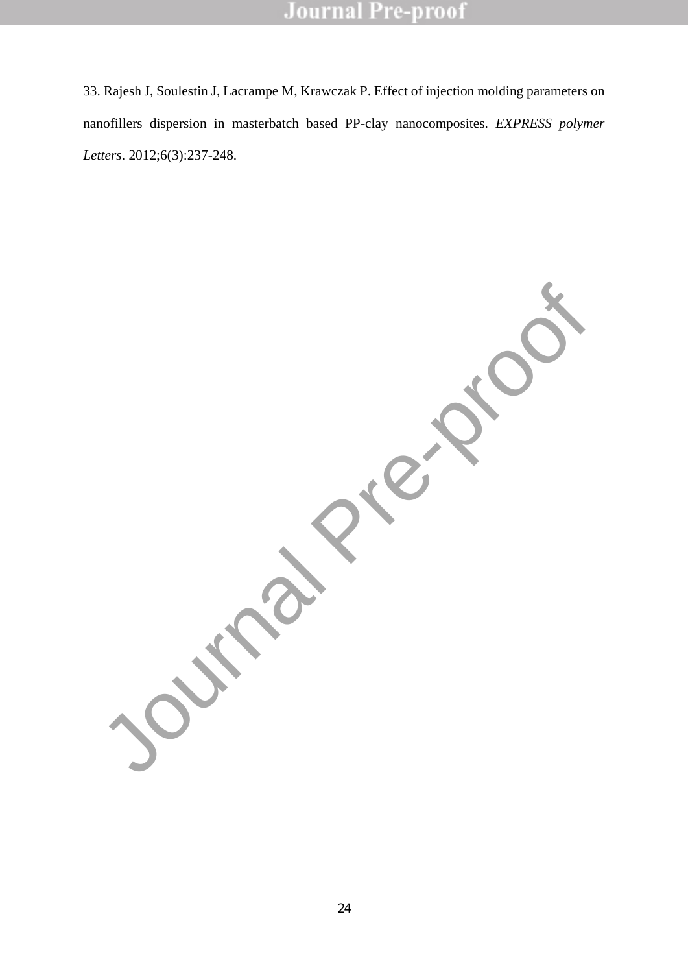33. Rajesh J, Soulestin J, Lacrampe M, Krawczak P. Effect of injection molding parameters on nanofillers dispersion in masterbatch based PP-clay nanocomposites. *EXPRESS polymer Letters*. 2012;6(3):237-248.

Journal Pre-proof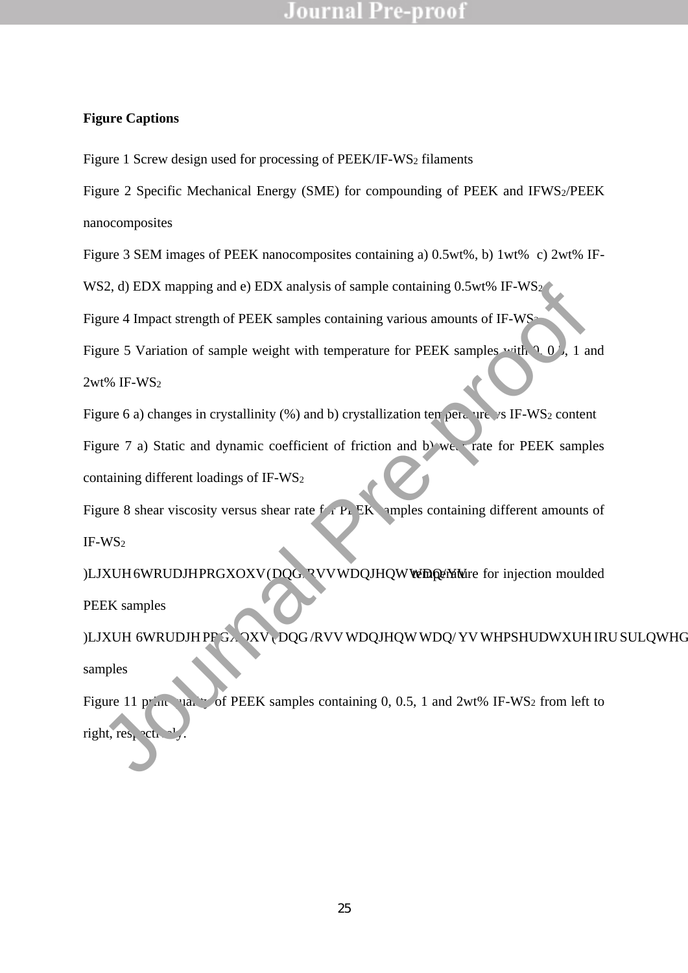### **Figure Captions**

Figure 1 Screw design used for processing of PEEK/IF-WS<sub>2</sub> filaments

Figure 2 Specific Mechanical Energy (SME) for compounding of PEEK and IFWS2/PEEK nanocomposites

Figure 3 SEM images of PEEK nanocomposites containing a) 0.5wt%, b) 1wt% c) 2wt% IF-

WS2, d) EDX mapping and e) EDX analysis of sample containing 0.5wt% IF-WS<sub>2</sub>

Figure 4 Impact strength of PEEK samples containing various amounts of IF-WS<sup>2</sup>

Figure 5 Variation of sample weight with temperature for PEEK samples with  $0, 0$ , 1 and

2wt% IF-WS<sup>2</sup>

Figure 6 a) changes in crystallinity (%) and b) crystallization temperature vs IF-WS<sub>2</sub> content Figure 7 a) Static and dynamic coefficient of friction and b) we rate for PEEK samples containing different loadings of IF-WS<sup>2</sup> WS2, d) EDX mapping and e) EDX analysis of sample containing 0.5wt% IF-WS2<br>
Figure 4 Inpact strength of PEEK samples containing various amounts of IF-WS-<br>
Figure 5 Variation of sample weight with temperature for PEEK sampl

Figure 8 shear viscosity versus shear rate  $f$   $\Gamma$  EK amples containing different amounts of IF-WS<sup>2</sup>

 $\Box$ 

PEEK samples

#### $)$  Mb  $\blacksquare$

samples

Figure 11 print yia. of PEEK samples containing 0, 0.5, 1 and 2wt% IF-WS<sub>2</sub> from left to